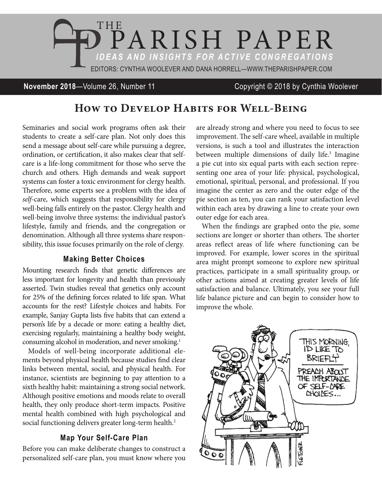

#### **November 2018**—Volume 26, Number 11 Copyright © 2018 by Cynthia Woolever

# **How to Develop Habits for Well-Being**

Seminaries and social work programs often ask their students to create a self-care plan. Not only does this send a message about self-care while pursuing a degree, ordination, or certification, it also makes clear that selfcare is a life-long commitment for those who serve the church and others. High demands and weak support systems can foster a toxic environment for clergy health. Therefore, some experts see a problem with the idea of *self*-care, which suggests that responsibility for clergy well-being falls entirely on the pastor. Clergy health and well-being involve three systems: the individual pastor's lifestyle, family and friends, and the congregation or denomination. Although all three systems share responsibility, this issue focuses primarily on the role of clergy.

#### **Making Better Choices**

Mounting research finds that genetic differences are less important for longevity and health than previously asserted. Twin studies reveal that genetics only account for 25% of the defining forces related to life span. What accounts for the rest? Lifestyle choices and habits. For example, Sanjay Gupta lists five habits that can extend a person's life by a decade or more: eating a healthy diet, exercising regularly, maintaining a healthy body weight, consuming alcohol in moderation, and never smoking.<sup>1</sup>

Models of well-being incorporate additional elements beyond physical health because studies find clear links between mental, social, and physical health. For instance, scientists are beginning to pay attention to a sixth healthy habit: maintaining a strong social network. Although positive emotions and moods relate to overall health, they only produce short-term impacts. Positive mental health combined with high psychological and social functioning delivers greater long-term health.<sup>2</sup>

#### **Map Your Self-Care Plan**

Before you can make deliberate changes to construct a personalized self-care plan, you must know where you are already strong and where you need to focus to see improvement. The self-care wheel, available in multiple versions, is such a tool and illustrates the interaction between multiple dimensions of daily life.<sup>3</sup> Imagine a pie cut into six equal parts with each section representing one area of your life: physical, psychological, emotional, spiritual, personal, and professional. If you imagine the center as zero and the outer edge of the pie section as ten, you can rank your satisfaction level within each area by drawing a line to create your own outer edge for each area.

When the findings are graphed onto the pie, some sections are longer or shorter than others. The shorter areas reflect areas of life where functioning can be improved. For example, lower scores in the spiritual area might prompt someone to explore new spiritual practices, participate in a small spirituality group, or other actions aimed at creating greater levels of life satisfaction and balance. Ultimately, you see your full life balance picture and can begin to consider how to improve the whole.